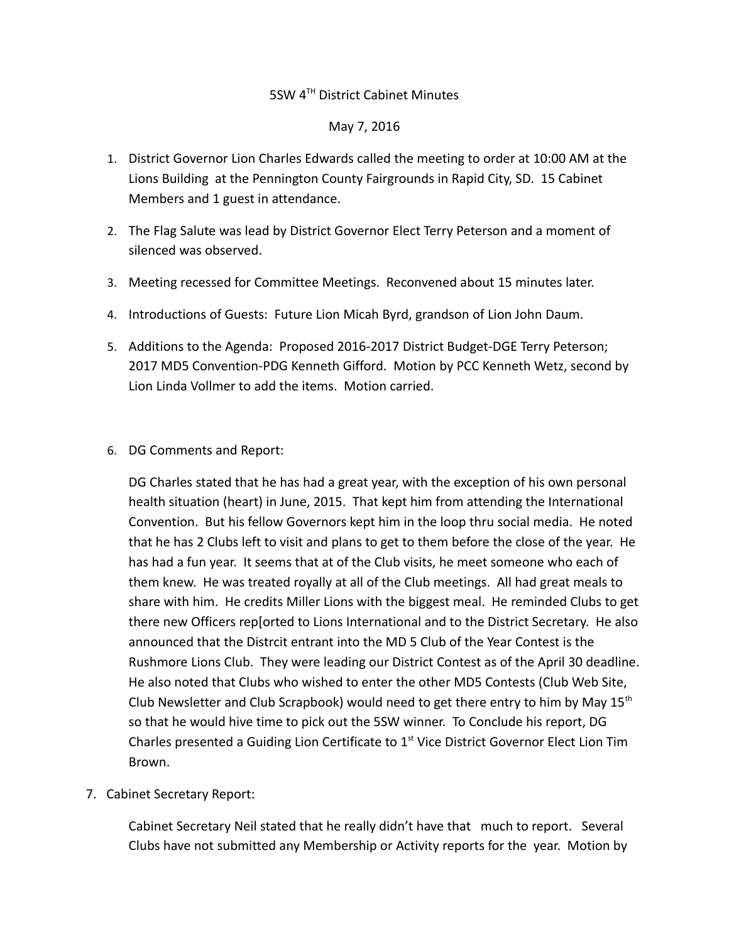## 5SW 4TH District Cabinet Minutes

## May 7, 2016

- 1. District Governor Lion Charles Edwards called the meeting to order at 10:00 AM at the Lions Building at the Pennington County Fairgrounds in Rapid City, SD. 15 Cabinet Members and 1 guest in attendance.
- 2. The Flag Salute was lead by District Governor Elect Terry Peterson and a moment of silenced was observed.
- 3. Meeting recessed for Committee Meetings. Reconvened about 15 minutes later.
- 4. Introductions of Guests: Future Lion Micah Byrd, grandson of Lion John Daum.
- 5. Additions to the Agenda: Proposed 2016-2017 District Budget-DGE Terry Peterson; 2017 MD5 Convention-PDG Kenneth Gifford. Motion by PCC Kenneth Wetz, second by Lion Linda Vollmer to add the items. Motion carried.
- 6. DG Comments and Report:

DG Charles stated that he has had a great year, with the exception of his own personal health situation (heart) in June, 2015. That kept him from attending the International Convention. But his fellow Governors kept him in the loop thru social media. He noted that he has 2 Clubs left to visit and plans to get to them before the close of the year. He has had a fun year. It seems that at of the Club visits, he meet someone who each of them knew. He was treated royally at all of the Club meetings. All had great meals to share with him. He credits Miller Lions with the biggest meal. He reminded Clubs to get there new Officers rep[orted to Lions International and to the District Secretary. He also announced that the Distrcit entrant into the MD 5 Club of the Year Contest is the Rushmore Lions Club. They were leading our District Contest as of the April 30 deadline. He also noted that Clubs who wished to enter the other MD5 Contests (Club Web Site, Club Newsletter and Club Scrapbook) would need to get there entry to him by May  $15<sup>th</sup>$ so that he would hive time to pick out the 5SW winner. To Conclude his report, DG Charles presented a Guiding Lion Certificate to  $1<sup>st</sup>$  Vice District Governor Elect Lion Tim Brown.

7. Cabinet Secretary Report:

Cabinet Secretary Neil stated that he really didn't have that much to report. Several Clubs have not submitted any Membership or Activity reports for the year. Motion by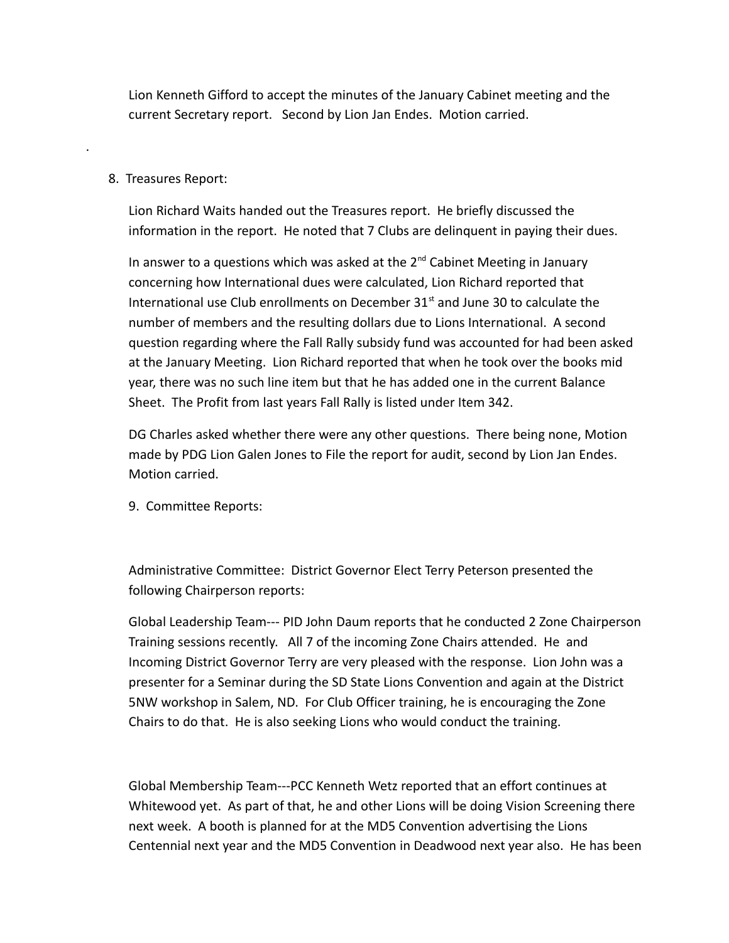Lion Kenneth Gifford to accept the minutes of the January Cabinet meeting and the current Secretary report. Second by Lion Jan Endes. Motion carried.

## 8. Treasures Report:

.

Lion Richard Waits handed out the Treasures report. He briefly discussed the information in the report. He noted that 7 Clubs are delinquent in paying their dues.

In answer to a questions which was asked at the  $2^{nd}$  Cabinet Meeting in January concerning how International dues were calculated, Lion Richard reported that International use Club enrollments on December  $31<sup>st</sup>$  and June 30 to calculate the number of members and the resulting dollars due to Lions International. A second question regarding where the Fall Rally subsidy fund was accounted for had been asked at the January Meeting. Lion Richard reported that when he took over the books mid year, there was no such line item but that he has added one in the current Balance Sheet. The Profit from last years Fall Rally is listed under Item 342.

DG Charles asked whether there were any other questions. There being none, Motion made by PDG Lion Galen Jones to File the report for audit, second by Lion Jan Endes. Motion carried.

9. Committee Reports:

Administrative Committee: District Governor Elect Terry Peterson presented the following Chairperson reports:

Global Leadership Team--- PID John Daum reports that he conducted 2 Zone Chairperson Training sessions recently. All 7 of the incoming Zone Chairs attended. He and Incoming District Governor Terry are very pleased with the response. Lion John was a presenter for a Seminar during the SD State Lions Convention and again at the District 5NW workshop in Salem, ND. For Club Officer training, he is encouraging the Zone Chairs to do that. He is also seeking Lions who would conduct the training.

Global Membership Team---PCC Kenneth Wetz reported that an effort continues at Whitewood yet. As part of that, he and other Lions will be doing Vision Screening there next week. A booth is planned for at the MD5 Convention advertising the Lions Centennial next year and the MD5 Convention in Deadwood next year also. He has been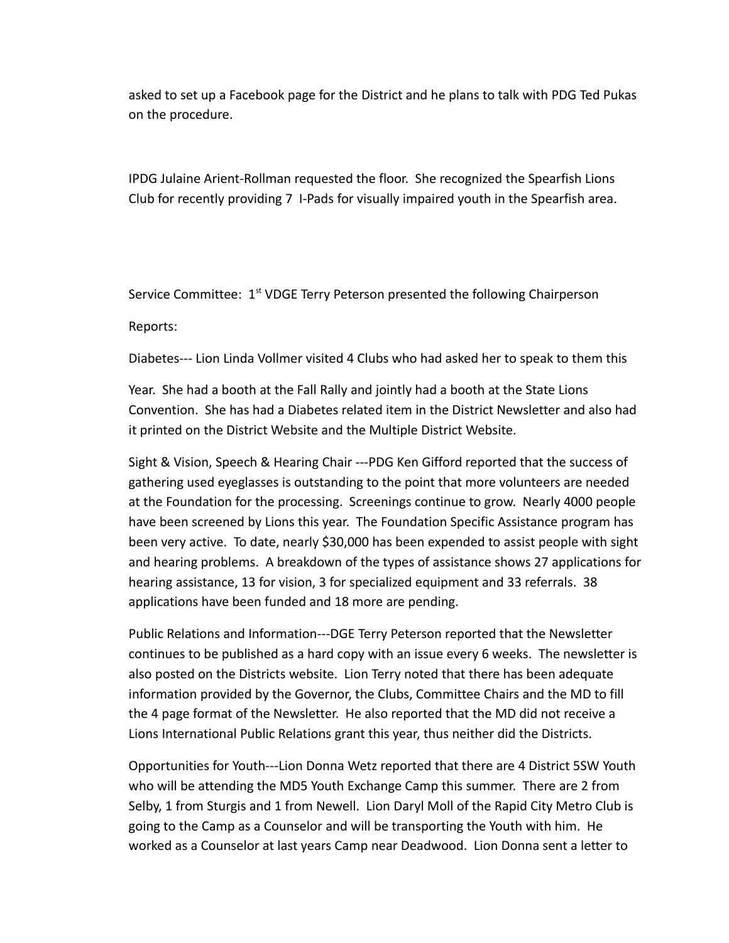asked to set up a Facebook page for the District and he plans to talk with PDG Ted Pukas on the procedure.

IPDG Julaine Arient-Rollman requested the floor. She recognized the Spearfish Lions Club for recently providing 7 I-Pads for visually impaired youth in the Spearfish area.

Service Committee: 1<sup>st</sup> VDGE Terry Peterson presented the following Chairperson

Reports:

Diabetes--- Lion Linda Vollmer visited 4 Clubs who had asked her to speak to them this

Year. She had a booth at the Fall Rally and jointly had a booth at the State Lions Convention. She has had a Diabetes related item in the District Newsletter and also had it printed on the District Website and the Multiple District Website.

Sight & Vision, Speech & Hearing Chair ---PDG Ken Gifford reported that the success of gathering used eyeglasses is outstanding to the point that more volunteers are needed at the Foundation for the processing. Screenings continue to grow. Nearly 4000 people have been screened by Lions this year. The Foundation Specific Assistance program has been very active. To date, nearly \$30,000 has been expended to assist people with sight and hearing problems. A breakdown of the types of assistance shows 27 applications for hearing assistance, 13 for vision, 3 for specialized equipment and 33 referrals. 38 applications have been funded and 18 more are pending.

Public Relations and Information---DGE Terry Peterson reported that the Newsletter continues to be published as a hard copy with an issue every 6 weeks. The newsletter is also posted on the Districts website. Lion Terry noted that there has been adequate information provided by the Governor, the Clubs, Committee Chairs and the MD to fill the 4 page format of the Newsletter. He also reported that the MD did not receive a Lions International Public Relations grant this year, thus neither did the Districts.

Opportunities for Youth---Lion Donna Wetz reported that there are 4 District 5SW Youth who will be attending the MD5 Youth Exchange Camp this summer. There are 2 from Selby, 1 from Sturgis and 1 from Newell. Lion Daryl Moll of the Rapid City Metro Club is going to the Camp as a Counselor and will be transporting the Youth with him. He worked as a Counselor at last years Camp near Deadwood. Lion Donna sent a letter to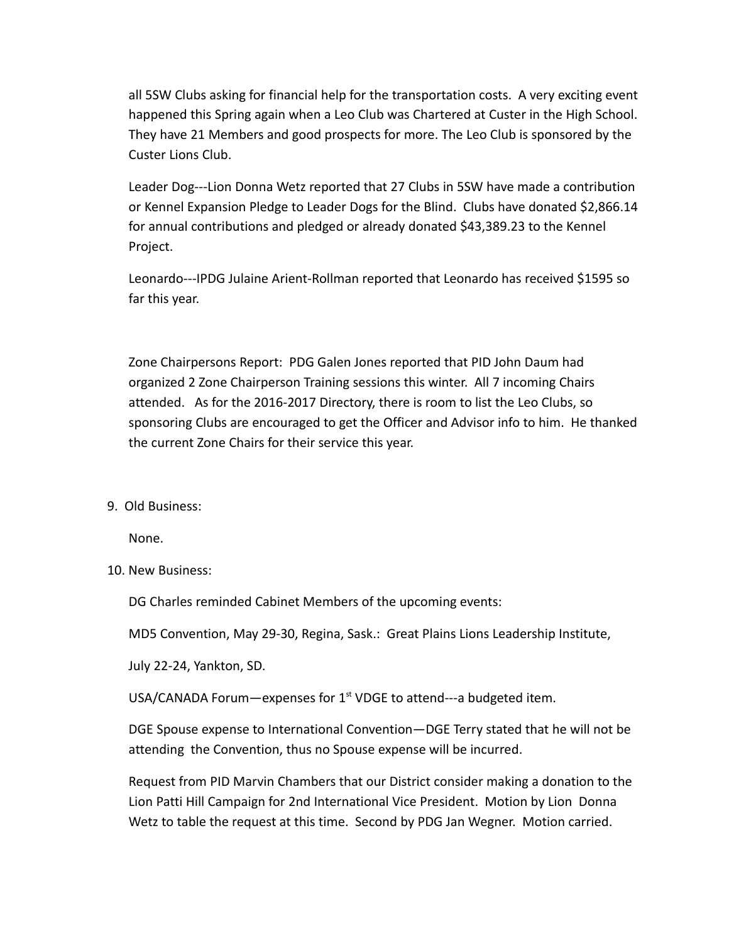all 5SW Clubs asking for financial help for the transportation costs. A very exciting event happened this Spring again when a Leo Club was Chartered at Custer in the High School. They have 21 Members and good prospects for more. The Leo Club is sponsored by the Custer Lions Club.

Leader Dog---Lion Donna Wetz reported that 27 Clubs in 5SW have made a contribution or Kennel Expansion Pledge to Leader Dogs for the Blind. Clubs have donated \$2,866.14 for annual contributions and pledged or already donated \$43,389.23 to the Kennel Project.

Leonardo---IPDG Julaine Arient-Rollman reported that Leonardo has received \$1595 so far this year.

Zone Chairpersons Report: PDG Galen Jones reported that PID John Daum had organized 2 Zone Chairperson Training sessions this winter. All 7 incoming Chairs attended. As for the 2016-2017 Directory, there is room to list the Leo Clubs, so sponsoring Clubs are encouraged to get the Officer and Advisor info to him. He thanked the current Zone Chairs for their service this year.

9. Old Business:

None.

10. New Business:

DG Charles reminded Cabinet Members of the upcoming events:

MD5 Convention, May 29-30, Regina, Sask.: Great Plains Lions Leadership Institute,

July 22-24, Yankton, SD.

USA/CANADA Forum-expenses for  $1<sup>st</sup>$  VDGE to attend---a budgeted item.

DGE Spouse expense to International Convention—DGE Terry stated that he will not be attending the Convention, thus no Spouse expense will be incurred.

Request from PID Marvin Chambers that our District consider making a donation to the Lion Patti Hill Campaign for 2nd International Vice President. Motion by Lion Donna Wetz to table the request at this time. Second by PDG Jan Wegner. Motion carried.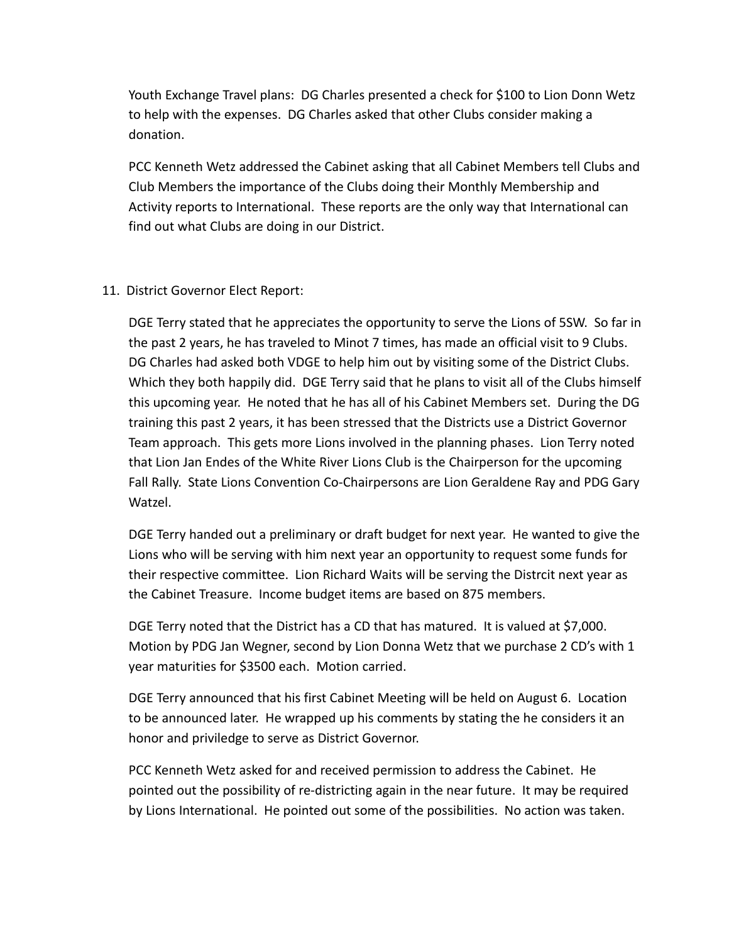Youth Exchange Travel plans: DG Charles presented a check for \$100 to Lion Donn Wetz to help with the expenses. DG Charles asked that other Clubs consider making a donation.

PCC Kenneth Wetz addressed the Cabinet asking that all Cabinet Members tell Clubs and Club Members the importance of the Clubs doing their Monthly Membership and Activity reports to International. These reports are the only way that International can find out what Clubs are doing in our District.

## 11. District Governor Elect Report:

DGE Terry stated that he appreciates the opportunity to serve the Lions of 5SW. So far in the past 2 years, he has traveled to Minot 7 times, has made an official visit to 9 Clubs. DG Charles had asked both VDGE to help him out by visiting some of the District Clubs. Which they both happily did. DGE Terry said that he plans to visit all of the Clubs himself this upcoming year. He noted that he has all of his Cabinet Members set. During the DG training this past 2 years, it has been stressed that the Districts use a District Governor Team approach. This gets more Lions involved in the planning phases. Lion Terry noted that Lion Jan Endes of the White River Lions Club is the Chairperson for the upcoming Fall Rally. State Lions Convention Co-Chairpersons are Lion Geraldene Ray and PDG Gary Watzel.

DGE Terry handed out a preliminary or draft budget for next year. He wanted to give the Lions who will be serving with him next year an opportunity to request some funds for their respective committee. Lion Richard Waits will be serving the Distrcit next year as the Cabinet Treasure. Income budget items are based on 875 members.

DGE Terry noted that the District has a CD that has matured. It is valued at \$7,000. Motion by PDG Jan Wegner, second by Lion Donna Wetz that we purchase 2 CD's with 1 year maturities for \$3500 each. Motion carried.

DGE Terry announced that his first Cabinet Meeting will be held on August 6. Location to be announced later. He wrapped up his comments by stating the he considers it an honor and priviledge to serve as District Governor.

PCC Kenneth Wetz asked for and received permission to address the Cabinet. He pointed out the possibility of re-districting again in the near future. It may be required by Lions International. He pointed out some of the possibilities. No action was taken.